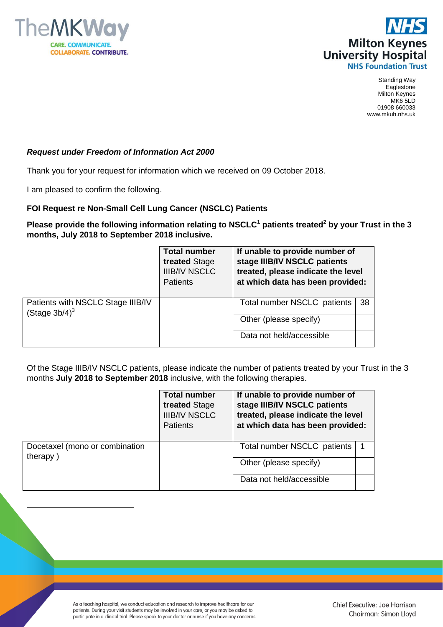



Standing Way **Eaglestone** Milton Keynes MK6 5LD 01908 660033 www.mkuh.nhs.uk

## *Request under Freedom of Information Act 2000*

Thank you for your request for information which we received on 09 October 2018.

I am pleased to confirm the following.

 $\overline{a}$ 

## **FOI Request re Non-Small Cell Lung Cancer (NSCLC) Patients**

**Please provide the following information relating to NSCLC<sup>1</sup> patients treated<sup>2</sup> by your Trust in the 3 months, July 2018 to September 2018 inclusive.**

|                                                                   | <b>Total number</b><br>treated Stage<br><b>IIIB/IV NSCLC</b><br><b>Patients</b> | If unable to provide number of<br>stage IIIB/IV NSCLC patients<br>treated, please indicate the level<br>at which data has been provided: |     |
|-------------------------------------------------------------------|---------------------------------------------------------------------------------|------------------------------------------------------------------------------------------------------------------------------------------|-----|
| Patients with NSCLC Stage IIIB/IV<br>(Stage $3b/4$ ) <sup>3</sup> |                                                                                 | Total number NSCLC patients                                                                                                              | -38 |
|                                                                   |                                                                                 | Other (please specify)                                                                                                                   |     |
|                                                                   |                                                                                 | Data not held/accessible                                                                                                                 |     |

Of the Stage IIIB/IV NSCLC patients, please indicate the number of patients treated by your Trust in the 3 months **July 2018 to September 2018** inclusive, with the following therapies.

|                                            | <b>Total number</b><br>treated Stage<br><b>IIIB/IV NSCLC</b><br><b>Patients</b> | If unable to provide number of<br>stage IIIB/IV NSCLC patients<br>treated, please indicate the level<br>at which data has been provided: |  |
|--------------------------------------------|---------------------------------------------------------------------------------|------------------------------------------------------------------------------------------------------------------------------------------|--|
| Docetaxel (mono or combination<br>therapy) |                                                                                 | Total number NSCLC patients                                                                                                              |  |
|                                            |                                                                                 | Other (please specify)                                                                                                                   |  |
|                                            |                                                                                 | Data not held/accessible                                                                                                                 |  |

As a teaching hospital, we conduct education and research to improve healthcare for our patients. During your visit students may be involved in your care, or you may be asked to participate in a clinical trial. Please speak to your doctor or nurse if you have any concerns.